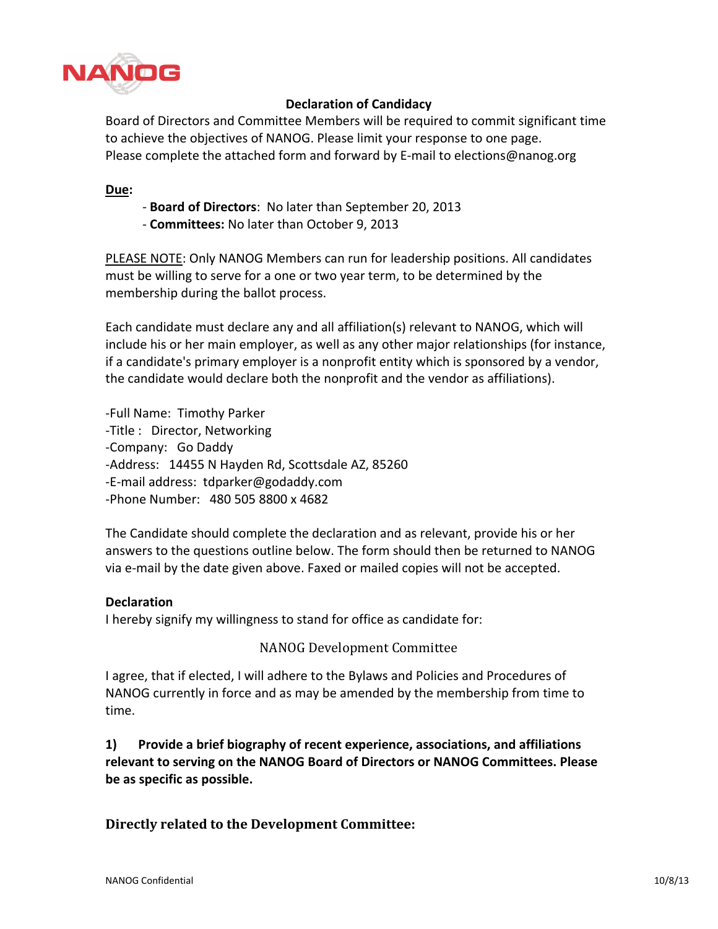

# **Declaration of Candidacy**

Board of Directors and Committee Members will be required to commit significant time to achieve the objectives of NANOG. Please limit your response to one page. Please complete the attached form and forward by E-mail to elections@nanog.org

### **Due:**

- Board of Directors: No later than September 20, 2013
- **Committees: No later than October 9, 2013**

PLEASE NOTE: Only NANOG Members can run for leadership positions. All candidates must be willing to serve for a one or two year term, to be determined by the membership during the ballot process.

Each candidate must declare any and all affiliation(s) relevant to NANOG, which will include his or her main employer, as well as any other major relationships (for instance, if a candidate's primary employer is a nonprofit entity which is sponsored by a vendor, the candidate would declare both the nonprofit and the vendor as affiliations).

-Full Name: Timothy Parker -Title : Director, Networking -Company: Go Daddy -Address: 14455 N Hayden Rd, Scottsdale AZ, 85260 -E-mail address: tdparker@godaddy.com -Phone Number: 480 505 8800 x 4682

The Candidate should complete the declaration and as relevant, provide his or her answers to the questions outline below. The form should then be returned to NANOG via e-mail by the date given above. Faxed or mailed copies will not be accepted.

#### **Declaration**

I hereby signify my willingness to stand for office as candidate for:

#### NANOG Development Committee

I agree, that if elected, I will adhere to the Bylaws and Policies and Procedures of NANOG currently in force and as may be amended by the membership from time to time.

**1)** Provide a brief biography of recent experience, associations, and affiliations relevant to serving on the NANOG Board of Directors or NANOG Committees. Please be as specific as possible.

## **Directly related to the Development Committee:**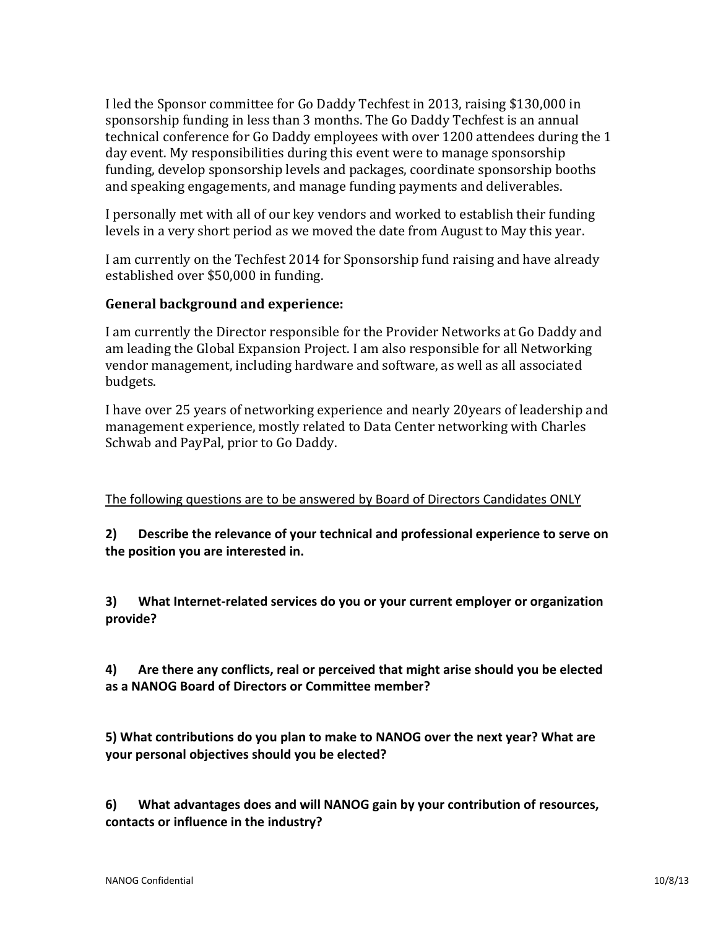I led the Sponsor committee for Go Daddy Techfest in 2013, raising \$130,000 in sponsorship funding in less than 3 months. The Go Daddy Techfest is an annual technical conference for Go Daddy employees with over 1200 attendees during the 1 day event. My responsibilities during this event were to manage sponsorship funding, develop sponsorship levels and packages, coordinate sponsorship booths and speaking engagements, and manage funding payments and deliverables.

I personally met with all of our key vendors and worked to establish their funding levels in a very short period as we moved the date from August to May this year.

I am currently on the Techfest 2014 for Sponsorship fund raising and have already established over \$50,000 in funding.

# General background and experience:

I am currently the Director responsible for the Provider Networks at Go Daddy and am leading the Global Expansion Project. I am also responsible for all Networking vendor management, including hardware and software, as well as all associated budgets.

I have over 25 years of networking experience and nearly 20years of leadership and management experience, mostly related to Data Center networking with Charles Schwab and PayPal, prior to Go Daddy.

# The following questions are to be answered by Board of Directors Candidates ONLY

**2) Describe the relevance of your technical and professional experience to serve on** the position you are interested in.

3) What Internet-related services do you or your current employer or organization **provide?**

**4)** Are there any conflicts, real or perceived that might arise should you be elected as a NANOG Board of Directors or Committee member?

5) What contributions do you plan to make to NANOG over the next year? What are **your+personal+objectives+should+you+be+elected?**

**6)** What advantages does and will NANOG gain by your contribution of resources, contacts or influence in the industry?